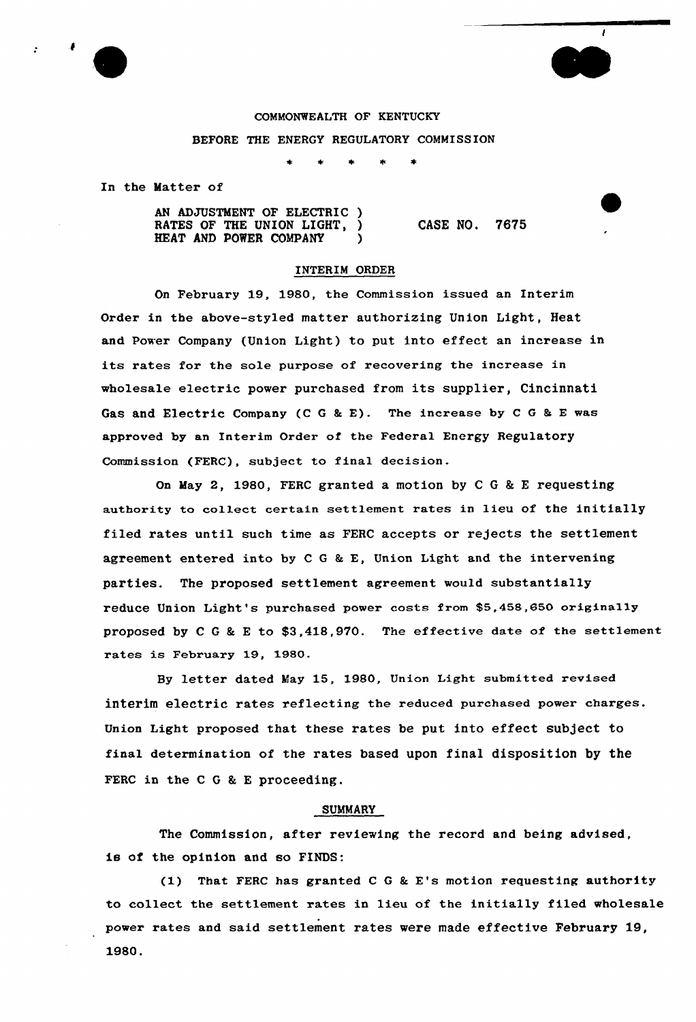



In the Matter of

AN ADJUSTMENT OF ELECTRIC ) RATES OF THE UNION LIGHT, HEAT AND POWER COMPANY ) CASE NO. 7675

 $\mathbf{I}$ 

#### INTERIM ORDER

On February 19, 1980, the Commission issued an Interim Ordex in the above-styled matter authorizing Union Light, Heat and Power Company (Union Light) to put into effect an increase in its rates for the sole purpose of recovering the increase in wholesale electric power purchased from its supplier, Cincinnati Gas and Electric Company (C G & E). The increase by C G & E was approved by an Interim Order of the Federal Energy Regulatory Commission (FERC), subject to final decision.

On May 2, 1980, FERC granted a motion by C G & E requesting authority to collect certain settlement rates in lieu of the initially filed rates until such time as FERC accepts or rejects the settlement agreement entered into by <sup>C</sup> <sup>G</sup> & E, Union Light and the intervening parties. The proposed settlement agreement would substantially reduce Union Light's purchased power costs from \$5,458,650 originally proposed by <sup>C</sup> <sup>G</sup> & <sup>E</sup> to \$3,418,970. The effective date of the settlement rates is February 19, 1980.

By letter dated May 15, 1980, Union Light submitted revised interim electric rates reflecting the reduced purchased power charges. Union Light proposed that these rates be put into effect subject to final determination of the rates based upon final disposition by the FERC in the  $C G & E$  proceeding.

## SUMMARY

The Commission, after reviewing the record and being advised, is of the opinion and so FINDS:

(1) That FERC has granted C G & E's motion requesting authority to collect the settlement rates in lieu of the initially filed wholesale power rates and said settlement rates were made effective February 19, 1980.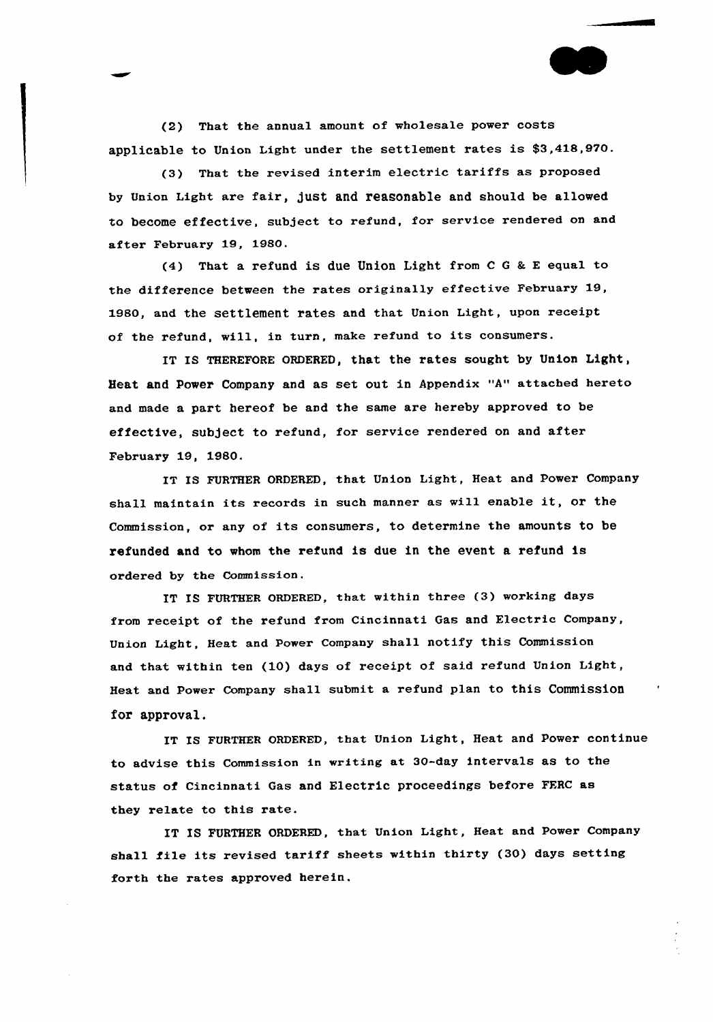(2) That the annual amount of wholesale power costs applicable to Union Light under the settlement rates is 53,418,9VO.

(3) That the revised interim electric tariffs as proposed by Union Light are fair, just and reasonable and should be allowed to become effective, subject to refund, for service rendered on and after February 19, 1980.

(4) That a refund is due Union Light from <sup>C</sup> <sup>G</sup> <sup>8</sup> <sup>E</sup> equal to the difference between the rates originally effective February 19, 1980, and the settlement rates and that Union Light, upon receipt of the refund, will, in turn, make refund to its consumers.

IT IS THEREFORE ORDERED, that the rates sought by Union Light, Heat and Power Company and as set out in Appendix "A" attached hereto and made a part hereof be and the same are hereby approved to be effective, subject to refund, for service rendered on and after February 19, 1980.

IT IS FURTHER ORDERED, that Union Light, Heat and Power Company shall maintain its records in such manner as will enable it, or the Commission, or any of its consumers, to determine the amounts to be refunded and to whom the refund is due in the event a refund is ordered by the Commission.

IT IS FURTHER ORDERED, that within three (3) working days from receipt of the refund from Cincinnati Gas and Electric Company, Union Light, Heat and Power Company shall notify this Commission and that within ten (10) days of receipt of said refund Union Light, Heat and Power Company shall submit a refund plan to this Commission for approval.

IT IS FURTHER ORDERED, that Union Light, Heat and Power continue to advise this Commission in writing at 30-day intervals as to the status of Cincinnati Gas and Electric proceedings before FFRC as they relate to this rate.

IT IS FURTHER ORDERED, that Union Light, Heat and Power Company shall file its revised tariff sheets within thirty (30) days setting forth the rates approved herein.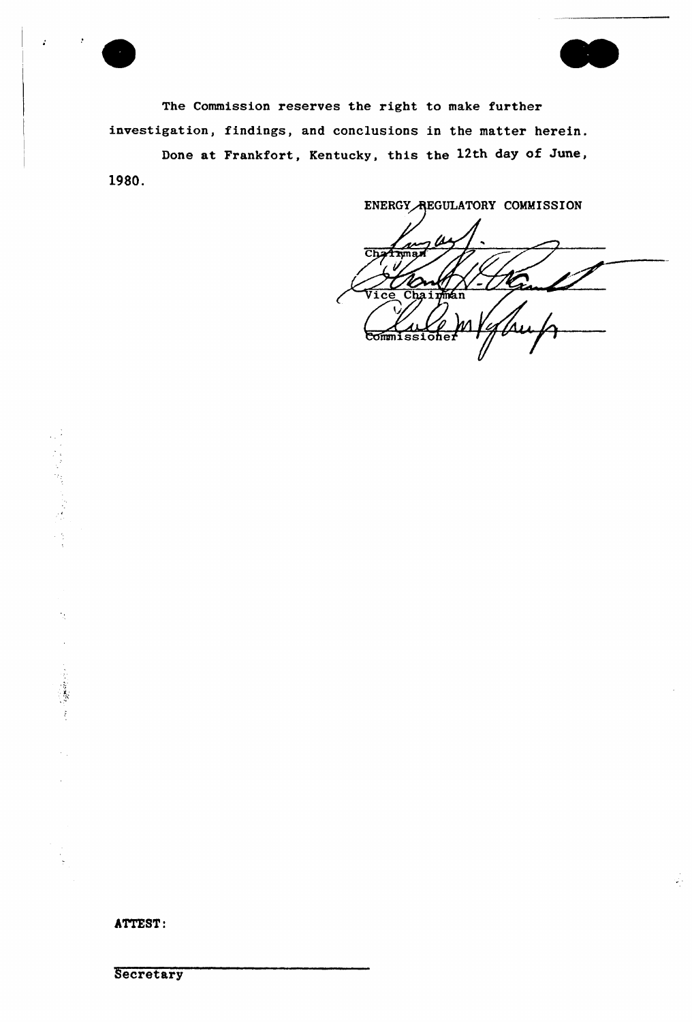

 $\ddot{a}$ 

The Commission reserves the right to make further investigation, findings, and conclusions in the matter herein.

Done at Frankfort, Kentucky, this the 12th day of June, 1980.

ENERGY REGULATORY COMMISSION  $\overline{\text{Ch}}$ **Trma** Chainman 'i ce Commissiohen

 $\frac{1}{\sqrt{2}}$ 

ATTEST:

**Secretary**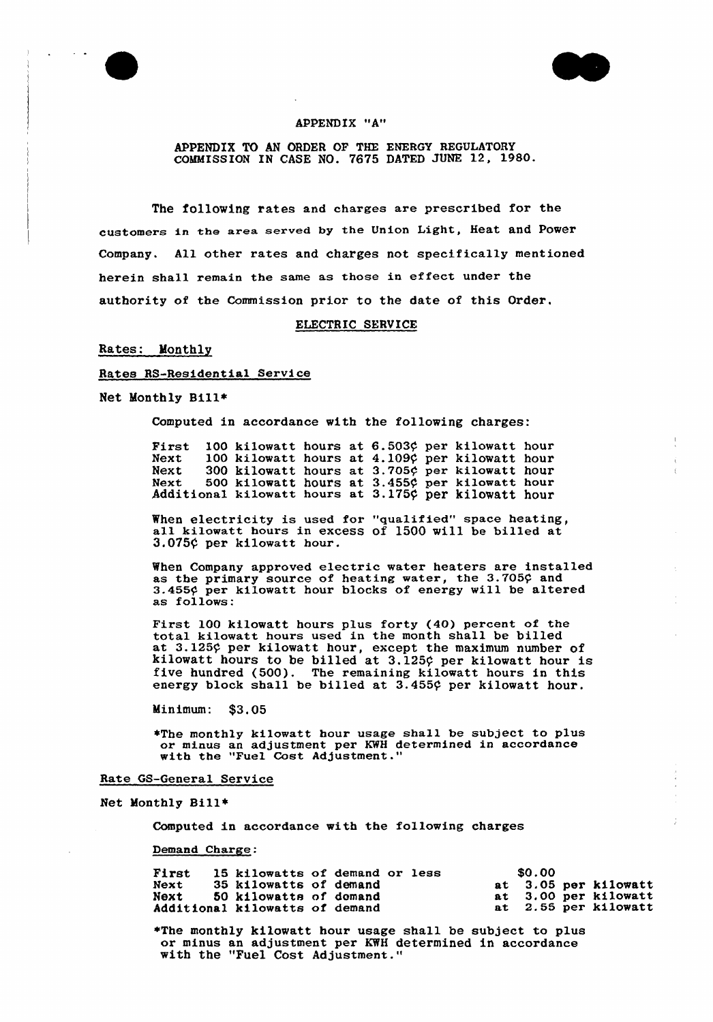



## APPENDIX "A"

APPENDIX TO AN ORDER OF THE ENERGY REGULATORY COMMISSION IN CASE NO. 7675 DATED JUNE 12, 1980-

The following rates and charges are prescribed for the customers in the area served by the Union Light, Heat and Power Company. All other rates and charges not specifically mentioned herein shall remain the same as those in effect under the authority of the Commission prior to the date of this Order.

## ELECTRIC SERVICE

#### Rates: Monthly

#### Rates RS-Residential Service

Net Monthly Bill\*

Computed in accordance with the following charges:

First 100 kilowatt hours at 6.503¢ per kilowatt hou Next 100 kilowatt hours at 4.1090 per kilowatt hours Next 300 kilowat Next 500 kilowat Additional kilowat hours at  $3.705\phi$  per kilowat hours at  $3.455$  per kilowat hours at 3.175¢ per kilowat hou: hour hou:

When electricity is used for "gualified" space heating, all kilowatt hours in excess of <sup>1500</sup> will be billed at 3.075¢ per kilowatt hour.

When Company approved electric water heaters are installed as the primary source of heating water, the  $3.705$ ? and 3.455¢ per kilowatt hour blocks of energy will be altered as follows:

First 100 kilowatt bours plus forty (40) percent of the total kilowatt hours used in the month shall be billed at 3.125¢ per kilowatt hour, except the maximum number of kilowatt hours to be billed at 3.125¢ per kilowatt hour is five hundred (500). The remaining kilowatt hours in this energy block shall be billed at 3.455¢ per kilowatt hour.

Minimum: \$3.05

+The monthly kilowatt hour usage shall be subject to plus or minus an adjustment per KWH determined in accordance with the "Fuel Cost Adjustment.

#### Rate GS-General Service

Net Monthly Bill~

Computed in accordance with the fo11owing charges

Demand Charge:

| First       | 15 kilowatts of demand or less |  |  | \$0.00 |                      |
|-------------|--------------------------------|--|--|--------|----------------------|
| <b>Next</b> | 35 kilowatts of demand         |  |  |        | at 3.05 per kilowatt |
| Next        | 50 kilowatts of demand         |  |  |        | at 3.00 per kilowatt |
|             | Additional kilowatts of demand |  |  |        | at 2.55 per kilowatt |

+The monthly kilowatt hour usage shall be subject to plus or minus an adjustment per KWH determined in accordance with the "Fuel Cost Adjustment."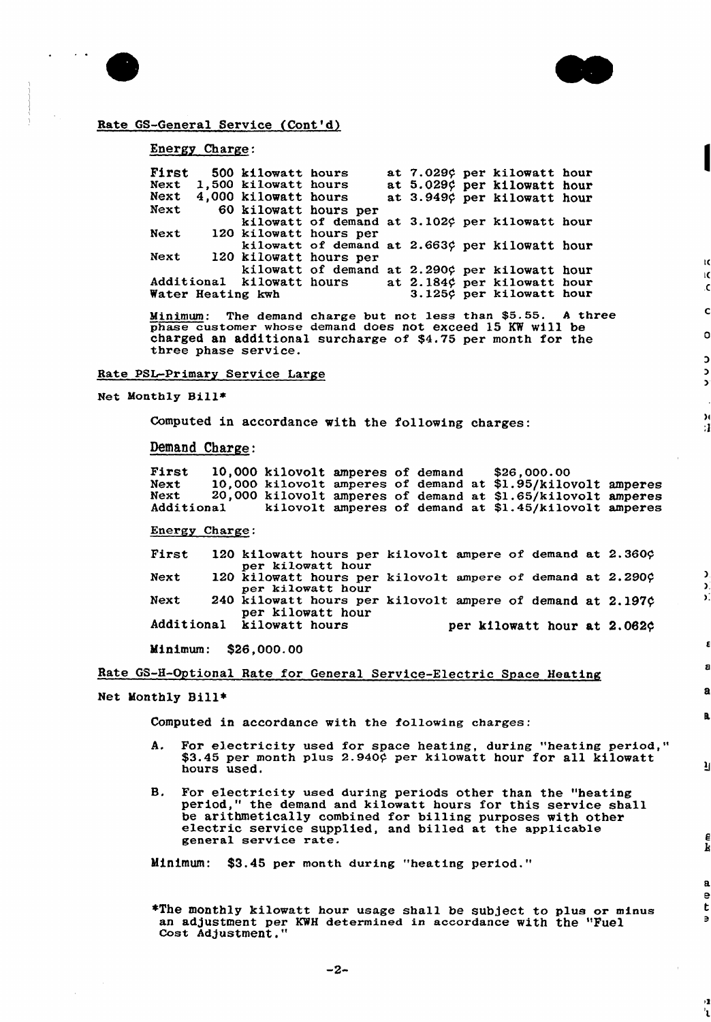

ĸ ΙC .C

 $\mathbf c$ 

 $\circ$ 

 $\overline{D}$ 

м :1

Þ X. D.

 $\mathbf a$ 

R,

μ

 $\frac{e}{k}$ 

 $\overline{\mathbf{a}}$  $\mathbf{P}$ t

ŷ, ່ ເ



# Rate GS-General Service (Cont'd)

## Energy Charge:

| First             |  | 500 kilowatt hours        |                                                |  |  | at 7.029¢ per kilowatt hour |  |
|-------------------|--|---------------------------|------------------------------------------------|--|--|-----------------------------|--|
| Next              |  | 1,500 kilowatt hours      |                                                |  |  | at 5.029¢ per kilowatt hour |  |
| Next              |  | 4,000 kilowatt hours      |                                                |  |  | at 3.949¢ per kilowatt hour |  |
| Next              |  |                           | 60 kilowatt hours per                          |  |  |                             |  |
|                   |  |                           | kilowatt of demand at 3.102¢ per kilowatt hour |  |  |                             |  |
| Next              |  |                           | 120 kilowatt hours per                         |  |  |                             |  |
|                   |  |                           | kilowatt of demand at 2.663¢ per kilowatt hour |  |  |                             |  |
| Next              |  |                           | 120 kilowatt hours per                         |  |  |                             |  |
|                   |  |                           | kilowatt of demand at 2.290¢ per kilowatt hour |  |  |                             |  |
|                   |  | Additional kilowatt hours |                                                |  |  | at 2.184¢ per kilowatt hour |  |
| Water Heating kwh |  |                           |                                                |  |  | 3.125¢ per kilowatt hour    |  |

Minimum: The demand charge but not less than \$5.55. A three phase customer whose demand does not exceed 15 KW will be charged an additional surcharge of \$4.75 per month for the three phase service.

#### Rate PSL-Primary Service Large

Net Monthly Bill\*

Computed in accordance with the following charges:

Demand Charge:

First 10,000 kilovolt amperes of deman Next 10,000 kilovolt amperes of demand at Next 20,000 kilovolt amperes of demand at Additional kilovolt amperes of demand at \$1.45/kilovolt amperes \$26,000.00 \$1.95/kilovolt ampere \$1.65/kilovolt ampere

Energy Charge:

First 120 kilowatt hours per kilovolt ampere of demand at 2.360? per kilowatt hour Next 120 kilowatt hours per kilovolt ampere of demand at 2.290¢ per kilowatt hour Next 240 kilowatt hours per kilovolt ampere of demand at 2.197¢ per kilowatt hour Additional kilowatt hours per kilowatt hour at 2.0824

Minimum: \$26,000.00

Rate GS-H-Optional Rate for General Service-Electric Space Heating

## Net Monthly Bill+

Computed in accordance with the fo11owing charges:

- A. For electricity used for space heating, during "heating period," \$3.45 per month plus 2.940¢ per kilowatt hour for all kilowat hours used.
- 8. For electricity used during periods other than the "heating period," the demand and kilowatt hours for this service shall be arithmetically combined for billing purposes with other electric service supplied, and billed at the applicable general service rate.

Minimum: \$3.45 per month during "heating period."

+The monthly kilowatt hour usage shall be subject to plus or minus an adjustment per KWH determined in accordance with the "Fuel Cost Adjustment."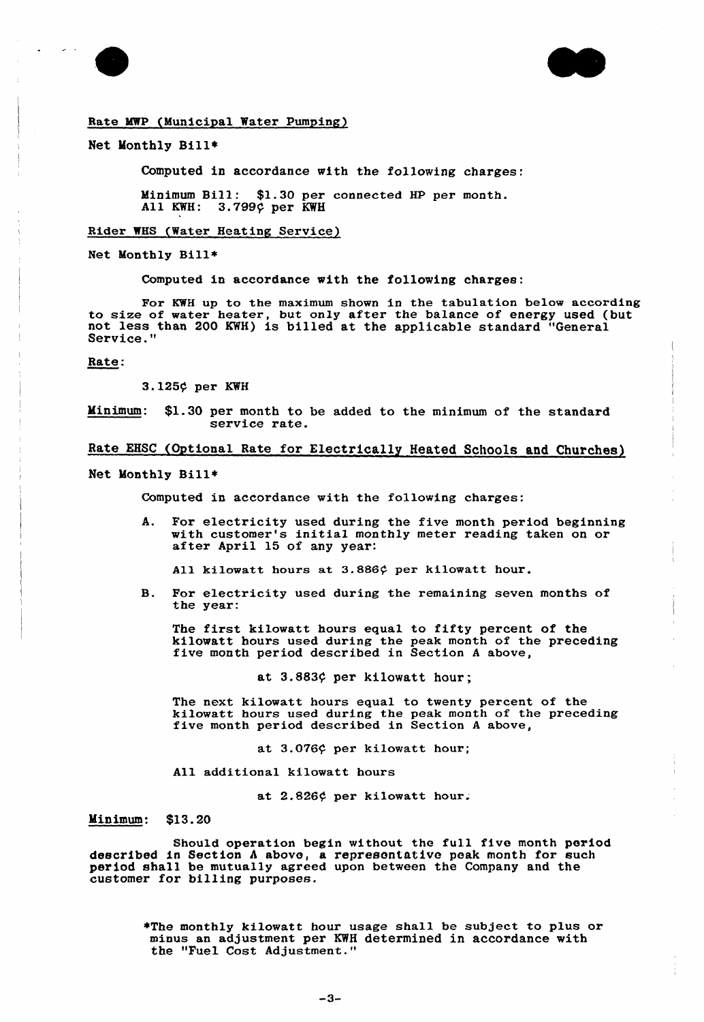



#### Rate MWP (Municipal Water Pumping)

#### Net Monthly Bill»

Computed in accordance with the following charges:

Minimum Bill: \$1.30 per connected HP per month. 3.799¢ per KWH

#### Rider WHS (Water Heating Service)

Net Monthly Bill\*

Computed in accordance with the following charges:

For KWH up to the maximum shown in the tabulation below according to size of water heater, but only after the balance of energy used (but not less than 200 KWH) is billed at the applicable standard "General Service."

## Rate:

3.125¢ per KWH

Minimum: \$1.30 per month to be added to the minimum of the standard service rate.

## Rate EHSC (Optional Rate for Electrically Heated Schools and Churches)

Net Monthly Bill\*

Computed in accordance with the following charges:

A. For electricity used during the five month period beginning with customer's initial monthly meter reading taken on or after April <sup>15</sup> of any year:

All kilowatt hours at 3.886¢ per kilowatt hour.

B. For electricity used during the remaining seven months of the year:

The first kilowatt hours equal to fifty percent of the kilowatt hours used during the peak month of the preceding five month period described in Section <sup>A</sup> above,

at  $3.883\zeta$  per kilowatt hour;

The next kilowatt hours equal to twenty percent of the kilowatt hours used during the peak month of the preceding five month period described in Section <sup>A</sup> above,

at  $3.076$  per kilowatt hour;

All additional kilowatt hours

at 2.826¢ per kilowatt hour.

Minimum: \$13.20

Should operation begin without the full five month period described in Section <sup>A</sup> above, a represontative peak month for such period shall be mutually agreed upon between the Company and the customer for billing purposes.

> \*The monthly kilowatt hour usage shall be subject to plus or minus an adjustment per KWH determined in accordance with the "Fuel Cost Adjustment."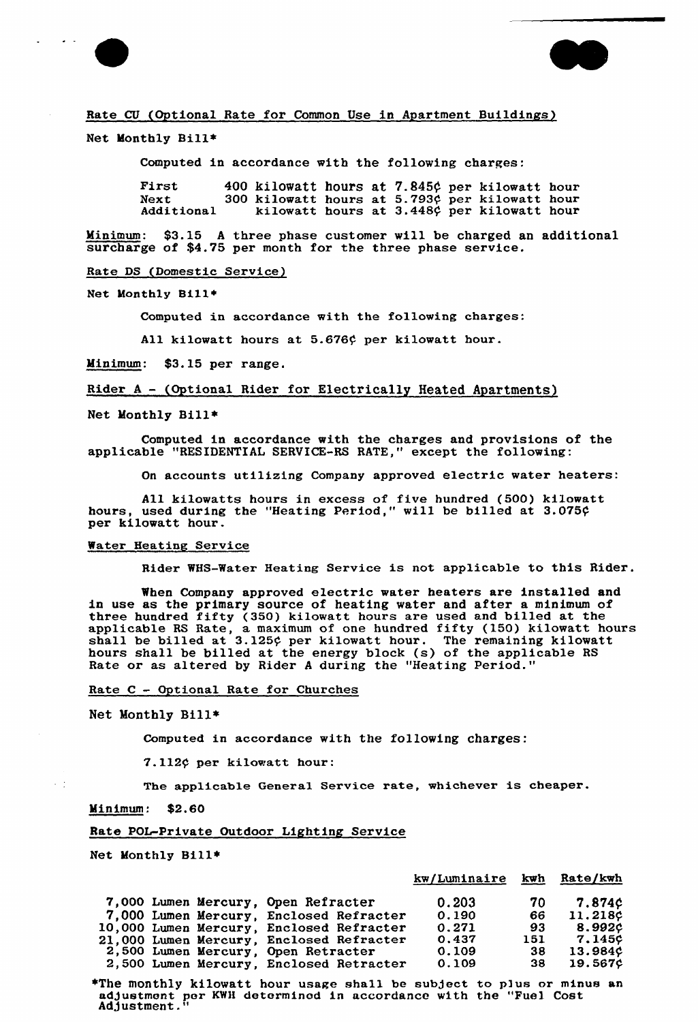



#### Rate CU (Optional Rate for Common Use in Apartment Buildings)

Net Monthly Bill\*

Computed in accordance with the following charges:

| First      | 400 kilowatt hours at 7.845¢ per kilowatt hour |  |  |                                            |  |
|------------|------------------------------------------------|--|--|--------------------------------------------|--|
| Next       | 300 kilowatt hours at 5.793¢ per kilowatt hour |  |  |                                            |  |
| Additional |                                                |  |  | kilowatt hours at 3.448¢ per kilowatt hour |  |

Minimum: \$3.15 <sup>A</sup> three phase customer vill be charged an additional surcharge of \$4.75 per month for the three phase service.

Rate DS (Domestic Service)

Net Monthly Bill»

Computed in accordance with the following charges:

All kilowatt hours at 5.676¢ per kilowatt hour.

Minimum: \$3.15 per range.

Rider <sup>A</sup> — (Optional Rider for Electrically Heated Apartments)

Net Monthly Bill»

Computed in accordance with the charges and provisions of the applicable "RESIDENTIAL SERVICE-RS RATE," except the following:

On accounts utilizing Company approved electric water heaters:

All kilowatts hours in excess of five hundred (500) kilowat hours, used during the "Heating Period," will be billed at 3.075¢ per kilowatt hour.

#### Mater Heating Service

Rider %HS-Water Heating Service is not applicable to this Rider.

When Company approved electric water heaters are installed and in use as the primary source of heating water and after a minimum of three hundred fifty (350) kilowatt hours are used and billed at the applicable RS Rate, a maximum of one hundred fifty (150) kilowatt hours shall be billed at 3.125¢ per kilowatt hour. The remaining kilowat hours shall be billed at the energy block (s) of the applicable RS Rate or as altered by Rider <sup>A</sup> during the "Heating period."

Rate  $C -$  Optional Rate for Churches

Net Monthly Bill\*

Computed in accordance with the following charges:

7.112¢ per kilowatt hour:

The applicable General Service rate, whichever is cheaper.

Minimum: \$2.60

 $\sim$  11

#### Rate POL-Private Outdoor Lighting Service

Net Monthly Bill»

|                                          | kw/Luminaire kwh Rate/kwh |     |                |
|------------------------------------------|---------------------------|-----|----------------|
| 7,000 Lumen Mercury, Open Refracter      | 0.203                     | 70  | <b>7.874¢</b>  |
| 7,000 Lumen Mercury, Enclosed Refracter  | 0.190                     | 66  | 11.218¢        |
| 10,000 Lumen Mercury, Enclosed Refracter | 0.271                     | 93  | 8.992¢         |
| 21,000 Lumen Mercury, Enclosed Refracter | 0.437                     | 151 | 7.145¢         |
| 2,500 Lumen Mercury, Open Retracter      | 0.109                     | 38  | 13.984¢        |
| 2,500 Lumen Mercury, Enclosed Retracter  | 0.109                     | 38  | <b>19.567¢</b> |
|                                          |                           |     |                |

»The monthly kilowatt hour usage shall be subject to p)ua or minus an adJustmont per KWH determinod in accordance with the "Fuel Cost Adjustment.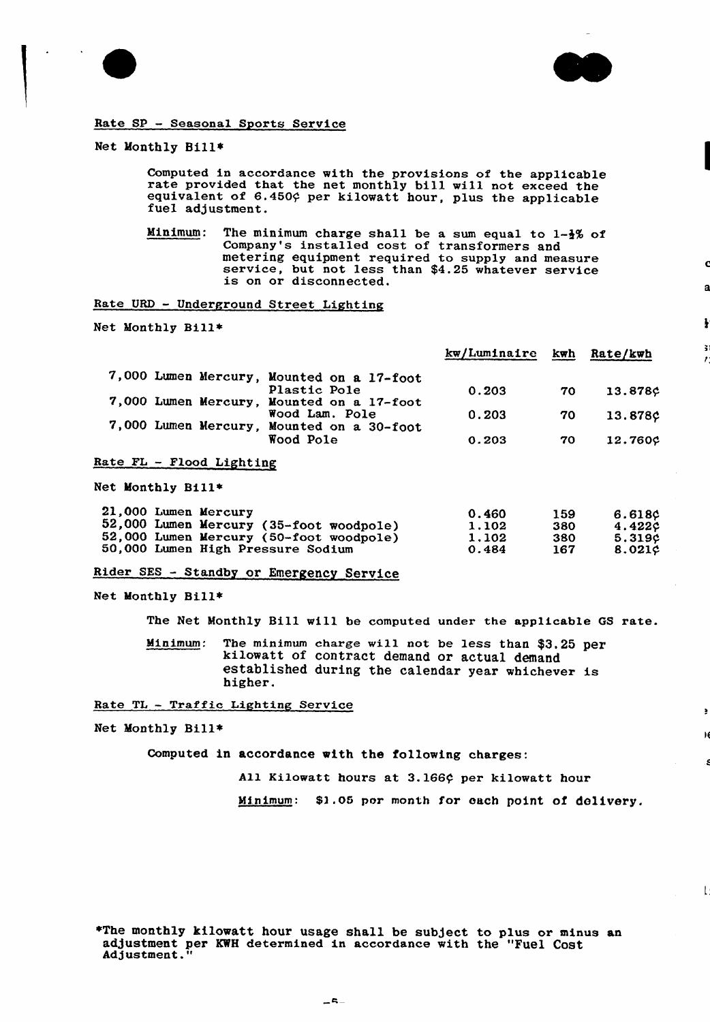



я

š.

 $\blacksquare$ 

М

 $\mathsf{L}$ 

# Rate SP — Seasonal Sports Service

## Net Monthly Bill\*

Computed in accordance with the provisions of the applicable rate provided that the net monthly bill will not exceed the equivalent of 6.450 $\varphi$  per kilowatt hour, plus the applicable fuel adjustment.

Minimum: The minimum charge shall be a sum equal to  $1-\frac{1}{2}\%$  of Company's installed cost of transformers and metering equipment required to supply and measure<br>service, but not less than \$4.25 whatever service<br>is on or disconnected.

Rate URD - Underground Street Lighting

Net Monthly Bill'~

|                                               | kw/Luminaire | kwh | Rate/kwh  |
|-----------------------------------------------|--------------|-----|-----------|
| 7,000 Lumen Mercury, Mounted on a 17-foot     |              |     |           |
| Plastic Pole                                  | 0.203        | 70  | 13.878¢   |
| 7,000 Lumen Mercury, Mounted on a 17-foot     |              |     |           |
| Wood Lam. Pole                                | 0.203        | 70  | 13.878¢   |
| 7,000 Lumen Mercury,<br>Mounted on a 30-foot  |              |     |           |
| Wood Pole                                     | 0.203        | 70  | 12.760c   |
| Rate FL - Flood Lighting<br>Net Monthly Bill* |              |     |           |
| 21,000 Lumen Mercury                          | 0.460        | 159 | 6.618¢    |
| 52,000 Lumen Mercury (35-foot woodpole)       | 1.102        | 380 | 4.422c    |
| 52,000 Lumen Mercury (50-foot woodpole)       | 1.102        | 380 | 5.319¢    |
| 50,000 Lumen High Pressure Sodium             | 0.484        | 167 | $8.021$ ¢ |

| ------<br>1.102<br>1.102 | .<br>380<br>380 | .<br>4.42<br>5.31 |
|--------------------------|-----------------|-------------------|
| 0.484                    | 167             | $8.02^{\circ}$    |
|                          |                 |                   |

Rider SES — Standby or Emergency Service

Net Monthly Bill+

The Net Monthly Bill will be computed under the applicable GS rate.

Minimum: The minimum charge will not be less than \$3,25 per kilowatt of contract demand or actual demand established during the calendar year whichever is higher.

#### Rate TL — Traffic Lighting Service

Net Monthly Bill\*

Computed in accordance with the following charges:

All Kilowatt hours at 3.166¢ per kilowatt hour

Minimum: \$1.05 por month for each point of delivery.

+The monthly kilowatt hour usage shall be subject to plus or minus an adjustment per KWH determined in accordance with the "Fuel Cost Adjustment."